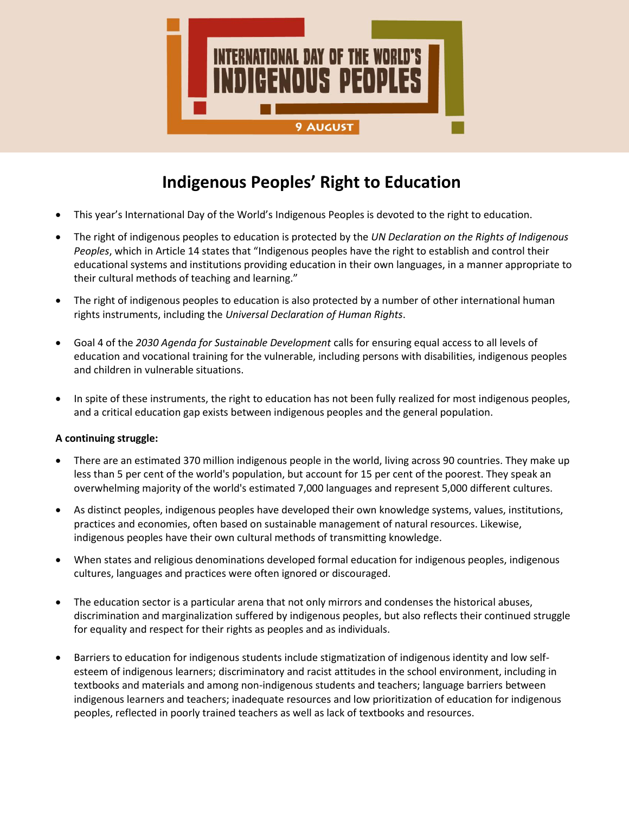

# **Indigenous Peoples' Right to Education**

- This year's International Day of the World's Indigenous Peoples is devoted to the right to education.
- The right of indigenous peoples to education is protected by the *UN Declaration on the Rights of Indigenous Peoples*, which in Article 14 states that "Indigenous peoples have the right to establish and control their educational systems and institutions providing education in their own languages, in a manner appropriate to their cultural methods of teaching and learning."
- The right of indigenous peoples to education is also protected by a number of other international human rights instruments, including the *Universal Declaration of Human Rights*.
- Goal 4 of the *2030 Agenda for Sustainable Development* calls for ensuring equal access to all levels of education and vocational training for the vulnerable, including persons with disabilities, indigenous peoples and children in vulnerable situations.
- In spite of these instruments, the right to education has not been fully realized for most indigenous peoples, and a critical education gap exists between indigenous peoples and the general population.

# **A continuing struggle:**

- There are an estimated 370 million indigenous people in the world, living across 90 countries. They make up less than 5 per cent of the world's population, but account for 15 per cent of the poorest. They speak an overwhelming majority of the world's estimated 7,000 languages and represent 5,000 different cultures.
- As distinct peoples, indigenous peoples have developed their own knowledge systems, values, institutions, practices and economies, often based on sustainable management of natural resources. Likewise, indigenous peoples have their own cultural methods of transmitting knowledge.
- When states and religious denominations developed formal education for indigenous peoples, indigenous cultures, languages and practices were often ignored or discouraged.
- The education sector is a particular arena that not only mirrors and condenses the historical abuses, discrimination and marginalization suffered by indigenous peoples, but also reflects their continued struggle for equality and respect for their rights as peoples and as individuals.
- Barriers to education for indigenous students include stigmatization of indigenous identity and low selfesteem of indigenous learners; discriminatory and racist attitudes in the school environment, including in textbooks and materials and among non-indigenous students and teachers; language barriers between indigenous learners and teachers; inadequate resources and low prioritization of education for indigenous peoples, reflected in poorly trained teachers as well as lack of textbooks and resources.